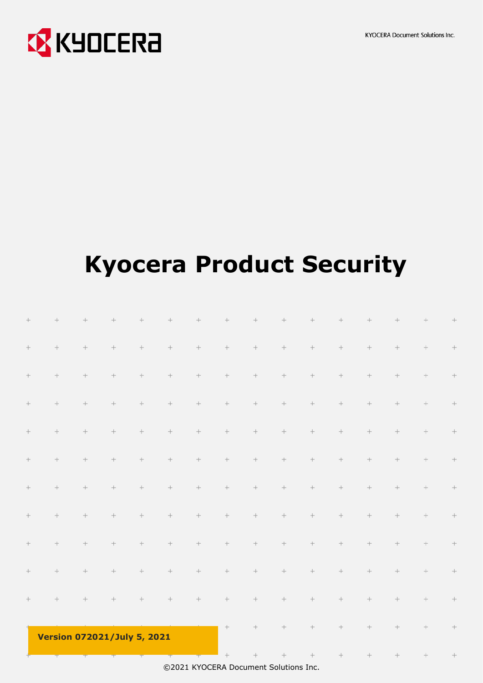

# **Kyocera Product Security**

| ÷                | $\qquad \qquad +$ | $\qquad \qquad +$                  | $^{+}$               | $^{+}$               | $^{+}$           | $\qquad \qquad +$ | $^{+}$               | $^{+}$  | $^{+}$  | $^{+}$               | $^{+}$               | $^{+}$               | $^{+}$ | $^{+}$              | $^{+}$            |
|------------------|-------------------|------------------------------------|----------------------|----------------------|------------------|-------------------|----------------------|---------|---------|----------------------|----------------------|----------------------|--------|---------------------|-------------------|
| $\! +$           | $\! +$            | $\!+$                              | $\! +$               | $\! +$               | $\! +$           | $\!+$             | $\! +$               | $\! +$  | $\! +$  | $\! +$               | $\boldsymbol{+}$     | $\hspace{0.025cm} +$ | $\! +$ | $\hspace{0.05cm} +$ | $\qquad \qquad +$ |
| $\! +$           | $\!+$             | $\! +$                             | $\! +$               | $\! +$               | $\! +$           | $\! +$            | $\! +$               | $\! +$  | $\! +$  | $\boldsymbol{+}$     | $\! +$               | $\! +$               | $\! +$ | $\! +$              | $\frac{1}{2}$     |
| $\! +$           | $\! +$            | $\! +$                             | $\! +$               | $\! +$               | $\! +$           | $\! +$            | $\! +$               | $\! +$  | $\! +$  | $\! +$               | $\! +$               | $\! +$               | $\! +$ | $\! +$              | $\! + \!$         |
| $\boldsymbol{+}$ | $\!+$             | $\!+$                              | $\hspace{0.025cm} +$ | $\! +$               | $\!+$            | $\! +$            | $\hspace{0.025cm} +$ | $^+ \,$ | $\! +$  | $\hspace{0.025cm} +$ | $\hspace{0.025cm} +$ | $\hspace{0.025cm} +$ | $\! +$ | $^+$                | $\! + \!$         |
| $\! +$           | $\!+$             | $\!+$                              | $\hspace{0.025cm} +$ | $\hspace{0.025cm} +$ | $\! +$           | $\! +$            | $\hspace{0.025cm} +$ | $^+ \,$ | $\! +$  | $\hspace{0.02cm} +$  | $\! +$               | $\hspace{0.025cm} +$ | $\! +$ | $\! +$              | $\! + \!$         |
| $\! +$           | $\! +$            | $\!+$                              | $\! +$               | $\! +$               | $\! +$           | $\! +$            | $\! +$               | $^+ \,$ | $\! +$  | $\hspace{0.025cm} +$ | $\! +$               | $\boldsymbol{+}$     | $\! +$ | $\hspace{0.05cm} +$ | $\frac{1}{2}$     |
| $\! +$           | $\! +$            | $\!+$                              | $\! +$               | $\!+$                | $\! +$           |                   | $\! +$               | $\! +$  | $\! +$  | $\boldsymbol{+}$     | $\! +$               | $\boldsymbol{+}$     | $\! +$ | $\! +$              | $\qquad \qquad +$ |
| $\! +$           | $\! +$            | $\! +$                             | $\! +$               | $\! +$               | $\! +$           | $\! +$            | $\! +$               | $\! +$  | $\! +$  | $\! +$               | $\boldsymbol{+}$     | $\!+$                | $\! +$ | $\! +$              | $\! + \!$         |
| $\! +$           | $\!+$             | $\!+$                              | $\! +$               | $\! +$               | $\! +$           | $\! +$            | $\hspace{0.025cm} +$ | $\! +$  | $\! +$  | $\!+$                | $\! +$               | $\hspace{0.025cm} +$ | $\! +$ | $\! +$              | $\! + \!$         |
| $\! +$           | $\!+$             | $\!+$                              | $\hspace{0.025cm} +$ | $\! +$               | $\boldsymbol{+}$ | $\!+$             | $\hspace{0.025cm} +$ | $^+$    | $^+ \,$ | $\hspace{0.02cm} +$  | $^+ \,$              | $\hspace{0.025cm} +$ | $\! +$ | $\! +$              | $\qquad \qquad +$ |
|                  |                   | <b>Version 072021/July 5, 2021</b> |                      |                      |                  |                   | $\! +$               | $\! +$  | $\! +$  | $\! +$               | $\! +$               | $\hspace{0.025cm} +$ | $\! +$ | $\! +$              | $\qquad \qquad +$ |
|                  |                   |                                    |                      |                      |                  |                   | $+$                  | $+$     | $+$     | $+$                  | $+$                  | $+$                  | $+$    | $\rightarrow$       | $\! +\!$          |

©2021 KYOCERA Document Solutions Inc.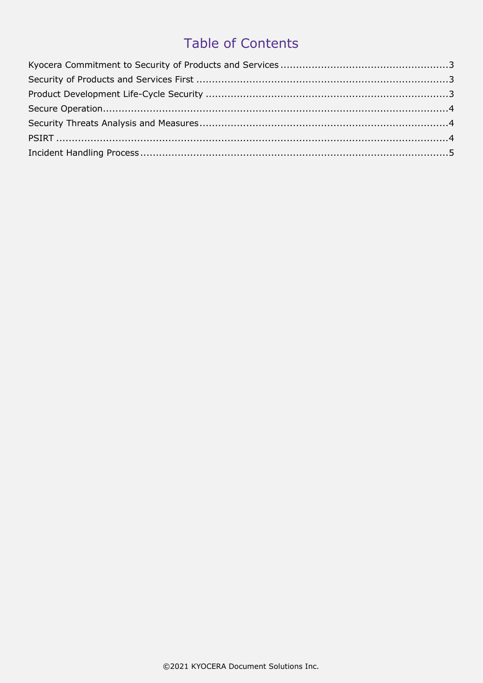#### **Table of Contents**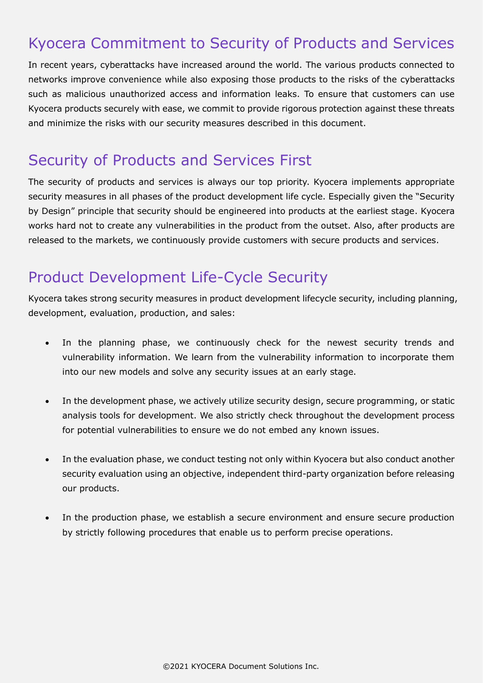# <span id="page-2-0"></span>Kyocera Commitment to Security of Products and Services

In recent years, cyberattacks have increased around the world. The various products connected to networks improve convenience while also exposing those products to the risks of the cyberattacks such as malicious unauthorized access and information leaks. To ensure that customers can use Kyocera products securely with ease, we commit to provide rigorous protection against these threats and minimize the risks with our security measures described in this document.

# <span id="page-2-1"></span>Security of Products and Services First

The security of products and services is always our top priority. Kyocera implements appropriate security measures in all phases of the product development life cycle. Especially given the "Security by Design" principle that security should be engineered into products at the earliest stage. Kyocera works hard not to create any vulnerabilities in the product from the outset. Also, after products are released to the markets, we continuously provide customers with secure products and services.

# <span id="page-2-2"></span>Product Development Life-Cycle Security

Kyocera takes strong security measures in product development lifecycle security, including planning, development, evaluation, production, and sales:

- In the planning phase, we continuously check for the newest security trends and vulnerability information. We learn from the vulnerability information to incorporate them into our new models and solve any security issues at an early stage.
- In the development phase, we actively utilize security design, secure programming, or static analysis tools for development. We also strictly check throughout the development process for potential vulnerabilities to ensure we do not embed any known issues.
- In the evaluation phase, we conduct testing not only within Kyocera but also conduct another security evaluation using an objective, independent third-party organization before releasing our products.
- In the production phase, we establish a secure environment and ensure secure production by strictly following procedures that enable us to perform precise operations.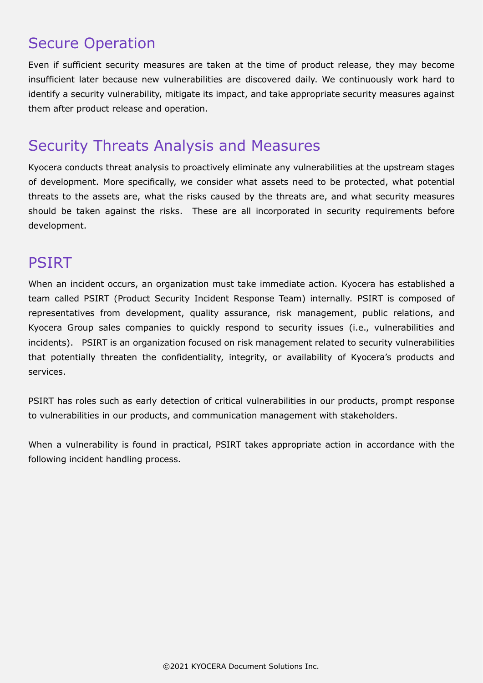# <span id="page-3-0"></span>Secure Operation

Even if sufficient security measures are taken at the time of product release, they may become insufficient later because new vulnerabilities are discovered daily. We continuously work hard to identify a security vulnerability, mitigate its impact, and take appropriate security measures against them after product release and operation.

# <span id="page-3-1"></span>Security Threats Analysis and Measures

Kyocera conducts threat analysis to proactively eliminate any vulnerabilities at the upstream stages of development. More specifically, we consider what assets need to be protected, what potential threats to the assets are, what the risks caused by the threats are, and what security measures should be taken against the risks. These are all incorporated in security requirements before development.

#### <span id="page-3-2"></span>PSIRT

When an incident occurs, an organization must take immediate action. Kyocera has established a team called PSIRT (Product Security Incident Response Team) internally. PSIRT is composed of representatives from development, quality assurance, risk management, public relations, and Kyocera Group sales companies to quickly respond to security issues (i.e., vulnerabilities and incidents). PSIRT is an organization focused on risk management related to security vulnerabilities that potentially threaten the confidentiality, integrity, or availability of Kyocera's products and services.

PSIRT has roles such as early detection of critical vulnerabilities in our products, prompt response to vulnerabilities in our products, and communication management with stakeholders.

When a vulnerability is found in practical, PSIRT takes appropriate action in accordance with the following incident handling process.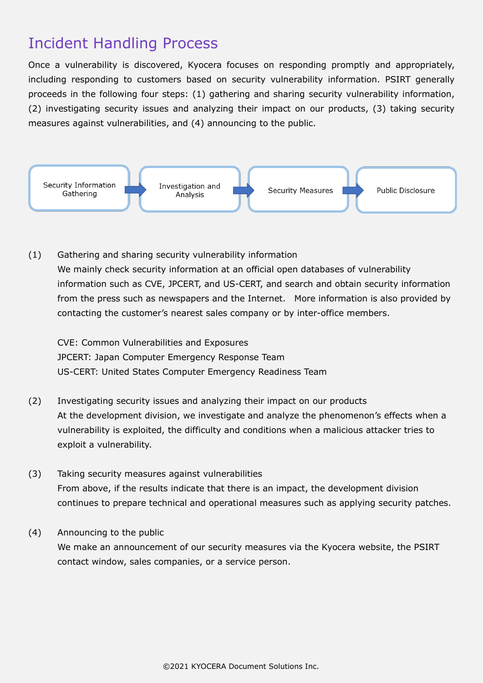# <span id="page-4-0"></span>Incident Handling Process

Once a vulnerability is discovered, Kyocera focuses on responding promptly and appropriately, including responding to customers based on security vulnerability information. PSIRT generally proceeds in the following four steps: (1) gathering and sharing security vulnerability information, (2) investigating security issues and analyzing their impact on our products, (3) taking security measures against vulnerabilities, and (4) announcing to the public.



(1) Gathering and sharing security vulnerability information We mainly check security information at an official open databases of vulnerability information such as CVE, JPCERT, and US-CERT, and search and obtain security information from the press such as newspapers and the Internet. More information is also provided by contacting the customer's nearest sales company or by inter-office members.

CVE: Common Vulnerabilities and Exposures JPCERT: Japan Computer Emergency Response Team US-CERT: United States Computer Emergency Readiness Team

- (2) Investigating security issues and analyzing their impact on our products At the development division, we investigate and analyze the phenomenon's effects when a vulnerability is exploited, the difficulty and conditions when a malicious attacker tries to exploit a vulnerability.
- (3) Taking security measures against vulnerabilities From above, if the results indicate that there is an impact, the development division continues to prepare technical and operational measures such as applying security patches.
- (4) Announcing to the public We make an announcement of our security measures via the Kyocera website, the PSIRT contact window, sales companies, or a service person.